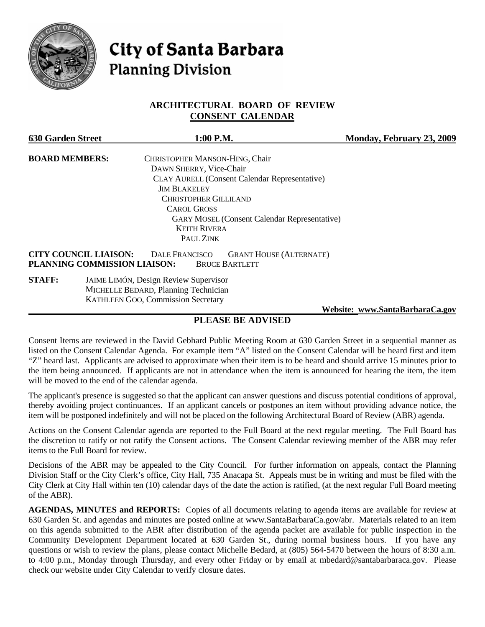

# **City of Santa Barbara Planning Division**

#### **ARCHITECTURAL BOARD OF REVIEW CONSENT CALENDAR**

| <b>630 Garden Street</b> | 1:00 P.M.                                                                                                                                        | Monday, February 23, 2009 |
|--------------------------|--------------------------------------------------------------------------------------------------------------------------------------------------|---------------------------|
| <b>BOARD MEMBERS:</b>    | CHRISTOPHER MANSON-HING, Chair                                                                                                                   |                           |
|                          | DAWN SHERRY, Vice-Chair                                                                                                                          |                           |
|                          | <b>CLAY AURELL (Consent Calendar Representative)</b>                                                                                             |                           |
|                          | <b>JIM BLAKELEY</b>                                                                                                                              |                           |
|                          | <b>CHRISTOPHER GILLILAND</b>                                                                                                                     |                           |
|                          | <b>CAROL GROSS</b>                                                                                                                               |                           |
|                          | <b>GARY MOSEL (Consent Calendar Representative)</b>                                                                                              |                           |
|                          | <b>KEITH RIVERA</b>                                                                                                                              |                           |
|                          | PAUL ZINK                                                                                                                                        |                           |
|                          | <b>CITY COUNCIL LIAISON:</b><br><b>DALE FRANCISCO</b><br><b>GRANT HOUSE (ALTERNATE)</b><br>PLANNING COMMISSION LIAISON:<br><b>BRUCE BARTLETT</b> |                           |
| <b>STAFF:</b>            | <b>JAIME LIMÓN, Design Review Supervisor</b><br>MICHELLE BEDARD, Planning Technician<br><b>KATHLEEN GOO, Commission Secretary</b>                |                           |

 **Website: [www.SantaBarbaraCa.gov](http://www.santabarbaraca.gov/)**

# **PLEASE BE ADVISED**

Consent Items are reviewed in the David Gebhard Public Meeting Room at 630 Garden Street in a sequential manner as listed on the Consent Calendar Agenda. For example item "A" listed on the Consent Calendar will be heard first and item "Z" heard last. Applicants are advised to approximate when their item is to be heard and should arrive 15 minutes prior to the item being announced. If applicants are not in attendance when the item is announced for hearing the item, the item will be moved to the end of the calendar agenda.

The applicant's presence is suggested so that the applicant can answer questions and discuss potential conditions of approval, thereby avoiding project continuances. If an applicant cancels or postpones an item without providing advance notice, the item will be postponed indefinitely and will not be placed on the following Architectural Board of Review (ABR) agenda.

Actions on the Consent Calendar agenda are reported to the Full Board at the next regular meeting. The Full Board has the discretion to ratify or not ratify the Consent actions. The Consent Calendar reviewing member of the ABR may refer items to the Full Board for review.

Decisions of the ABR may be appealed to the City Council. For further information on appeals, contact the Planning Division Staff or the City Clerk's office, City Hall, 735 Anacapa St. Appeals must be in writing and must be filed with the City Clerk at City Hall within ten (10) calendar days of the date the action is ratified, (at the next regular Full Board meeting of the ABR).

**AGENDAS, MINUTES and REPORTS:** Copies of all documents relating to agenda items are available for review at 630 Garden St. and agendas and minutes are posted online at [www.SantaBarbaraCa.gov/abr.](http://www.santabarbaraca.gov/abr) Materials related to an item on this agenda submitted to the ABR after distribution of the agenda packet are available for public inspection in the Community Development Department located at 630 Garden St., during normal business hours. If you have any questions or wish to review the plans, please contact Michelle Bedard, at (805) 564-5470 between the hours of 8:30 a.m. to 4:00 p.m., Monday through Thursday, and every other Friday or by email at [mbedard@santabarbaraca.gov.](mailto:mbedard@santabarbaraca.gov) Please check our website under City Calendar to verify closure dates.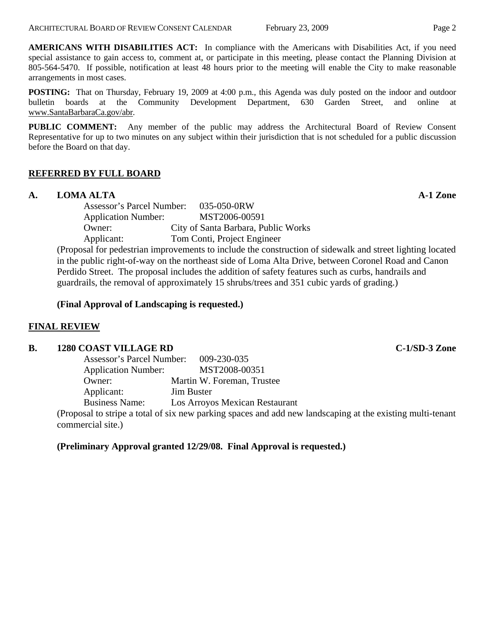**AMERICANS WITH DISABILITIES ACT:** In compliance with the Americans with Disabilities Act, if you need special assistance to gain access to, comment at, or participate in this meeting, please contact the Planning Division at 805-564-5470. If possible, notification at least 48 hours prior to the meeting will enable the City to make reasonable arrangements in most cases.

**POSTING:** That on Thursday, February 19, 2009 at 4:00 p.m., this Agenda was duly posted on the indoor and outdoor bulletin boards at the Community Development Department, 630 Garden Street, and online at [www.SantaBarbaraCa.gov/abr.](http://www.santabarbaraca.gov/abr)

**PUBLIC COMMENT:** Any member of the public may address the Architectural Board of Review Consent Representative for up to two minutes on any subject within their jurisdiction that is not scheduled for a public discussion before the Board on that day.

# **REFERRED BY FULL BOARD**

# **A. LOMA ALTA A-1 Zone**

Assessor's Parcel Number: 035-050-0RW Application Number: MST2006-00591 Owner: City of Santa Barbara, Public Works Applicant: Tom Conti, Project Engineer

(Proposal for pedestrian improvements to include the construction of sidewalk and street lighting located in the public right-of-way on the northeast side of Loma Alta Drive, between Coronel Road and Canon Perdido Street. The proposal includes the addition of safety features such as curbs, handrails and guardrails, the removal of approximately 15 shrubs/trees and 351 cubic yards of grading.)

#### **(Final Approval of Landscaping is requested.)**

# **FINAL REVIEW**

#### **B.** 1280 COAST VILLAGE RD **C-1/SD-3** Zone

| Assessor's Parcel Number:  | $009 - 230 - 035$              |
|----------------------------|--------------------------------|
| <b>Application Number:</b> | MST2008-00351                  |
| Owner:                     | Martin W. Foreman, Trustee     |
| Applicant:                 | <b>Jim Buster</b>              |
| <b>Business Name:</b>      | Los Arroyos Mexican Restaurant |

(Proposal to stripe a total of six new parking spaces and add new landscaping at the existing multi-tenant commercial site.)

# **(Preliminary Approval granted 12/29/08. Final Approval is requested.)**